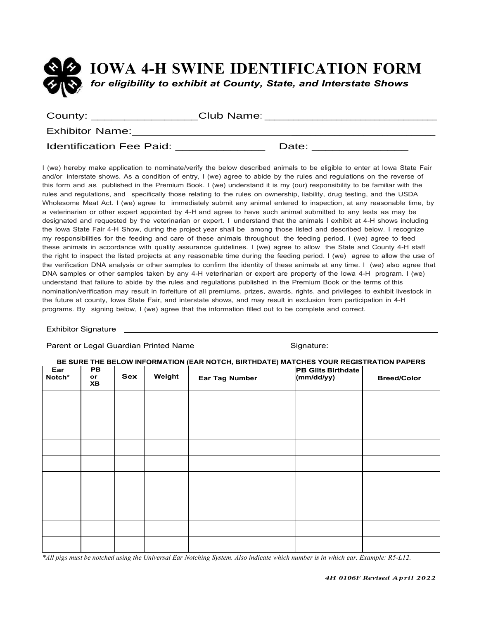

| County: $\overline{\phantom{a}}$ | Club Name: |       |  |
|----------------------------------|------------|-------|--|
| <b>Exhibitor Name:</b>           |            |       |  |
| <b>Identification Fee Paid:</b>  |            | Date: |  |

I (we) hereby make application to nominate/verify the below described animals to be eligible to enter at Iowa State Fair and/or interstate shows. As a condition of entry, I (we) agree to abide by the rules and regulations on the reverse of this form and as published in the Premium Book. I (we) understand it is my (our) responsibility to be familiar with the rules and regulations, and specifically those relating to the rules on ownership, liability, drug testing, and the USDA Wholesome Meat Act. I (we) agree to immediately submit any animal entered to inspection, at any reasonable time, by a veterinarian or other expert appointed by 4-H and agree to have such animal submitted to any tests as may be designated and requested by the veterinarian or expert. I understand that the animals I exhibit at 4-H shows including the Iowa State Fair 4-H Show, during the project year shall be among those listed and described below. I recognize my responsibilities for the feeding and care of these animals throughout the feeding period. I (we) agree to feed these animals in accordance with quality assurance guidelines. I (we) agree to allow the State and County 4-H staff the right to inspect the listed projects at any reasonable time during the feeding period. I (we) agree to allow the use of the verification DNA analysis or other samples to confirm the identity of these animals at any time. I (we) also agree that DNA samples or other samples taken by any 4-H veterinarian or expert are property of the Iowa 4-H program. I (we) understand that failure to abide by the rules and regulations published in the Premium Book or the terms of this nomination/verification may result in forfeiture of all premiums, prizes, awards, rights, and privileges to exhibit livestock in the future at county, Iowa State Fair, and interstate shows, and may result in exclusion from participation in 4-H programs. By signing below, I (we) agree that the information filled out to be complete and correct.

#### Exhibitor Signature

| Parent or Legal Guardian Printed Name_________________________Signature: ___________________________ |                              |            |        |                       |                                         |                    |  |  |
|------------------------------------------------------------------------------------------------------|------------------------------|------------|--------|-----------------------|-----------------------------------------|--------------------|--|--|
| BE SURE THE BELOW INFORMATION (EAR NOTCH, BIRTHDATE) MATCHES YOUR REGISTRATION PAPERS                |                              |            |        |                       |                                         |                    |  |  |
| Ear<br>Notch*                                                                                        | <b>PB</b><br>or<br><b>XB</b> | <b>Sex</b> | Weight | <b>Ear Tag Number</b> | <b>PB Gilts Birthdate</b><br>(mm/dd/yy) | <b>Breed/Color</b> |  |  |
|                                                                                                      |                              |            |        |                       |                                         |                    |  |  |
|                                                                                                      |                              |            |        |                       |                                         |                    |  |  |
|                                                                                                      |                              |            |        |                       |                                         |                    |  |  |
|                                                                                                      |                              |            |        |                       |                                         |                    |  |  |
|                                                                                                      |                              |            |        |                       |                                         |                    |  |  |
|                                                                                                      |                              |            |        |                       |                                         |                    |  |  |
|                                                                                                      |                              |            |        |                       |                                         |                    |  |  |
|                                                                                                      |                              |            |        |                       |                                         |                    |  |  |
|                                                                                                      |                              |            |        |                       |                                         |                    |  |  |
|                                                                                                      |                              |            |        |                       |                                         |                    |  |  |

\*All pigs must be notched using the Universal Ear Notching System. Also indicate which number is in which ear. Example: R5-L12.